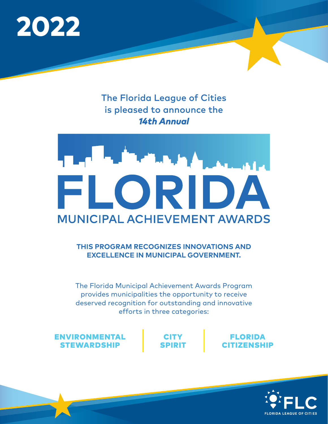

### The Florida League of Cities is pleased to announce the *14th Annual*



#### **THIS PROGRAM RECOGNIZES INNOVATIONS AND EXCELLENCE IN MUNICIPAL GOVERNMENT.**

The Florida Municipal Achievement Awards Program provides municipalities the opportunity to receive deserved recognition for outstanding and innovative efforts in three categories:

ENVIRONMENTAL STEWARDSHIP

CITY SPIRIT



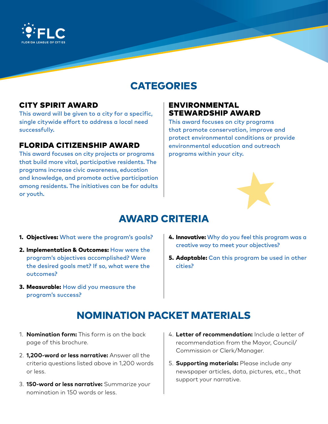

## CATEGORIES

#### CITY SPIRIT AWARD

This award will be given to a city for a specific, single citywide effort to address a local need successfully.

#### FLORIDA CITIZENSHIP AWARD

This award focuses on city projects or programs that build more vital, participative residents. The programs increase civic awareness, education and knowledge, and promote active participation among residents. The initiatives can be for adults or youth.

#### ENVIRONMENTAL STEWARDSHIP AWARD

This award focuses on city programs that promote conservation, improve and protect environmental conditions or provide environmental education and outreach programs within your city.



## AWARD CRITERIA

- **1. Objectives:** What were the program's goals?
- 2. Implementation & Outcomes: How were the program's objectives accomplished? Were the desired goals met? If so, what were the outcomes?
- **3. Measurable:** How did you measure the program's success?
- **4. Innovative:** Why do you feel this program was a creative way to meet your objectives?
- **5. Adaptable:** Can this program be used in other cities?

## NOMINATION PACKET MATERIALS

- 1. **Nomination form:** This form is on the back page of this brochure.
- 2. **1,200-word or less narrative:** Answer all the criteria questions listed above in 1,200 words or less.
- 3. **150-word or less narrative:** Summarize your nomination in 150 words or less.
- 4. **Letter of recommendation:** Include a letter of recommendation from the Mayor, Council/ Commission or Clerk/Manager.
- 5. **Supporting materials:** Please include any newspaper articles, data, pictures, etc., that support your narrative.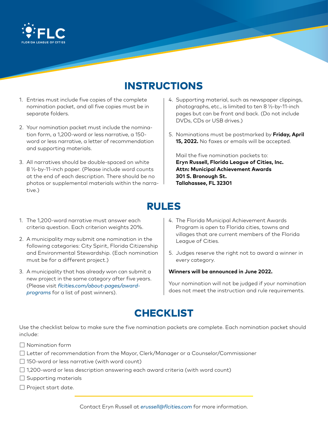

## INSTRUCTIONS

- 1. Entries must include five copies of the complete nomination packet, and all five copies must be in separate folders.
- 2. Your nomination packet must include the nomination form, a 1,200-word or less narrative, a 150 word or less narrative, a letter of recommendation and supporting materials.
- 3. All narratives should be double-spaced on white 8 ½-by-11-inch paper. (Please include word counts at the end of each description. There should be no photos or supplemental materials within the narrative.)
- 1. The 1,200-word narrative must answer each
- criteria question. Each criterion weights 20%.
- 2. A municipality may submit one nomination in the following categories: City Spirit, Florida Citizenship and Environmental Stewardship. (Each nomination must be for a different project.)
- 3. A municipality that has already won can submit a new project in the same category after five years. (Please visit *[flcities.com/about-pages/award](http://flcities.com/about-pages/award-programs)[programs](http://flcities.com/about-pages/award-programs)* for a list of past winners).
- 4. Supporting material, such as newspaper clippings, photographs, etc., is limited to ten 8 ½-by-11-inch pages but can be front and back. (Do not include DVDs, CDs or USB drives.)
- 5. Nominations must be postmarked by **Friday, April 15, 2022.** No faxes or emails will be accepted.

Mail the five nomination packets to: **Eryn Russell, Florida League of Cities, Inc. Attn: Municipal Achievement Awards 301 S. Bronough St. Tallahassee, FL 32301**

## RULES

- 4. The Florida Municipal Achievement Awards Program is open to Florida cities, towns and villages that are current members of the Florida League of Cities.
- 5. Judges reserve the right not to award a winner in every category.

#### **Winners will be announced in June 2022.**

Your nomination will not be judged if your nomination does not meet the instruction and rule requirements.

#### **CHECKLIST**

Use the checklist below to make sure the five nomination packets are complete. Each nomination packet should include:

- ☐ Nomination form
- ☐ Letter of recommendation from the Mayor, Clerk/Manager or a Counselor/Commissioner
- ☐ 150-word or less narrative (with word count)
- $\Box$  1,200-word or less description answering each award criteria (with word count)
- $\Box$  Supporting materials
- □ Project start date.

Contact Eryn Russell at *[erussell@flcities.com](mailto:erussell%40flcities.com?subject=)* for more information.